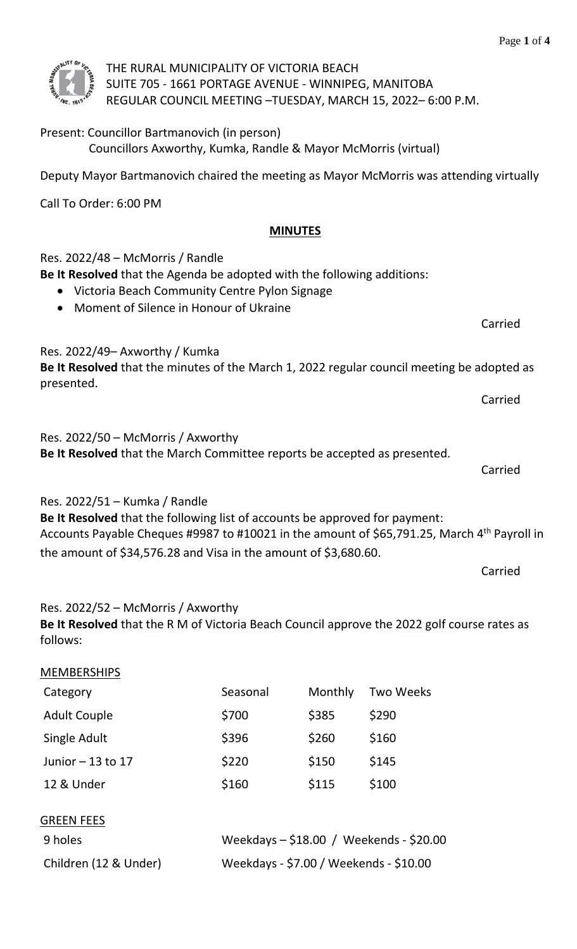

### THE RURAL MUNICIPALITY OF VICTORIA BEACH SUITE 705 - 1661 PORTAGE AVENUE - WINNIPEG, MANITOBA REGULAR COUNCIL MEETING –TUESDAY, MARCH 15, 2022– 6:00 P.M.

# Present: Councillor Bartmanovich (in person)

Councillors Axworthy, Kumka, Randle & Mayor McMorris (virtual)

Deputy Mayor Bartmanovich chaired the meeting as Mayor McMorris was attending virtually

Call To Order: 6:00 PM

# **MINUTES**

# Res. 2022/48 – McMorris / Randle

**Be It Resolved** that the Agenda be adopted with the following additions:

- Victoria Beach Community Centre Pylon Signage
- Moment of Silence in Honour of Ukraine

Res. 2022/49– Axworthy / Kumka

**Be It Resolved** that the minutes of the March 1, 2022 regular council meeting be adopted as presented.

Carried

Res. 2022/50 – McMorris / Axworthy

**Be It Resolved** that the March Committee reports be accepted as presented.

Carried

Res. 2022/51 – Kumka / Randle

**Be It Resolved** that the following list of accounts be approved for payment: Accounts Payable Cheques #9987 to #10021 in the amount of \$65,791.25, March  $4<sup>th</sup>$  Payroll in the amount of \$34,576.28 and Visa in the amount of \$3,680.60.

Carried

Carried

Res. 2022/52 – McMorris / Axworthy

**Be It Resolved** that the R M of Victoria Beach Council approve the 2022 golf course rates as follows:

| <b>MEMBERSHIPS</b>    |                                           |         |                  |  |
|-----------------------|-------------------------------------------|---------|------------------|--|
| Category              | Seasonal                                  | Monthly | <b>Two Weeks</b> |  |
| <b>Adult Couple</b>   | \$700                                     | \$385   | \$290            |  |
| Single Adult          | \$396                                     | \$260   | \$160            |  |
| Junior $-13$ to 17    | \$220                                     | \$150   | \$145            |  |
| 12 & Under            | \$160                                     | \$115   | \$100            |  |
| <b>GREEN FEES</b>     |                                           |         |                  |  |
| 9 holes               | Weekdays $-$ \$18.00 / Weekends - \$20.00 |         |                  |  |
| Children (12 & Under) | Weekdays - \$7.00 / Weekends - \$10.00    |         |                  |  |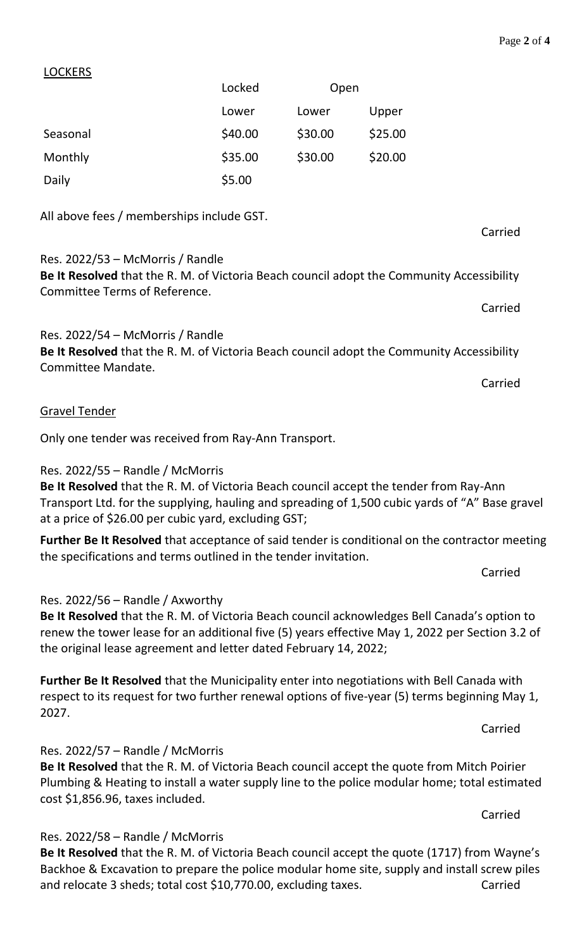#### LOCKERS

|          | Locked  |         | Open    |  |
|----------|---------|---------|---------|--|
|          | Lower   | Lower   | Upper   |  |
| Seasonal | \$40.00 | \$30.00 | \$25.00 |  |
| Monthly  | \$35.00 | \$30.00 | \$20.00 |  |
| Daily    | \$5.00  |         |         |  |

All above fees / memberships include GST.

# Res. 2022/53 – McMorris / Randle

**Be It Resolved** that the R. M. of Victoria Beach council adopt the Community Accessibility Committee Terms of Reference.

Res. 2022/54 – McMorris / Randle

**Be It Resolved** that the R. M. of Victoria Beach council adopt the Community Accessibility Committee Mandate.

Carried

#### Gravel Tender

Only one tender was received from Ray-Ann Transport.

### Res. 2022/55 – Randle / McMorris

**Be It Resolved** that the R. M. of Victoria Beach council accept the tender from Ray-Ann Transport Ltd. for the supplying, hauling and spreading of 1,500 cubic yards of "A" Base gravel at a price of \$26.00 per cubic yard, excluding GST;

**Further Be It Resolved** that acceptance of said tender is conditional on the contractor meeting the specifications and terms outlined in the tender invitation.

Carried

#### Res. 2022/56 – Randle / Axworthy

**Be It Resolved** that the R. M. of Victoria Beach council acknowledges Bell Canada's option to renew the tower lease for an additional five (5) years effective May 1, 2022 per Section 3.2 of the original lease agreement and letter dated February 14, 2022;

**Further Be It Resolved** that the Municipality enter into negotiations with Bell Canada with respect to its request for two further renewal options of five-year (5) terms beginning May 1, 2027.

Carried

#### Res. 2022/57 – Randle / McMorris

# **Be It Resolved** that the R. M. of Victoria Beach council accept the quote from Mitch Poirier Plumbing & Heating to install a water supply line to the police modular home; total estimated cost \$1,856.96, taxes included.

Carried

#### Res. 2022/58 – Randle / McMorris

**Be It Resolved** that the R. M. of Victoria Beach council accept the quote (1717) from Wayne's Backhoe & Excavation to prepare the police modular home site, supply and install screw piles and relocate 3 sheds; total cost \$10,770.00, excluding taxes. Carried

Carried

Carried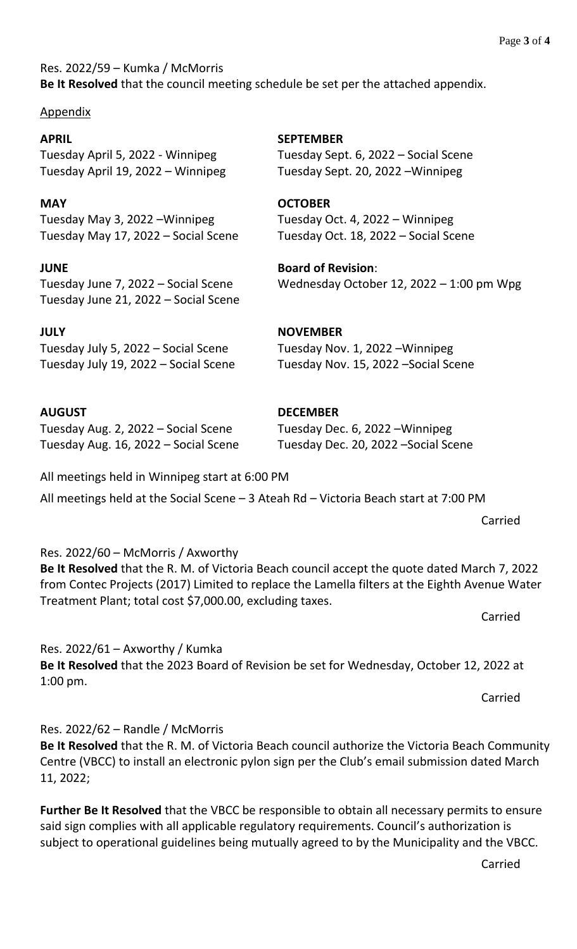Res. 2022/59 – Kumka / McMorris **Be It Resolved** that the council meeting schedule be set per the attached appendix.

#### Appendix

**APRIL SEPTEMBER** Tuesday April 5, 2022 - Winnipeg Tuesday Sept. 6, 2022 – Social Scene Tuesday April 19, 2022 – Winnipeg Tuesday Sept. 20, 2022 –Winnipeg

**MAY OCTOBER** Tuesday May 3, 2022 –Winnipeg Tuesday Oct. 4, 2022 – Winnipeg Tuesday May 17, 2022 – Social Scene Tuesday Oct. 18, 2022 – Social Scene

**JUNE Board of Revision**: Tuesday June 21, 2022 – Social Scene

**JULY NOVEMBER** Tuesday July 5, 2022 – Social Scene Tuesday Nov. 1, 2022 –Winnipeg Tuesday July 19, 2022 – Social Scene Tuesday Nov. 15, 2022 –Social Scene

**AUGUST DECEMBER** Tuesday Aug. 2, 2022 – Social Scene Tuesday Dec. 6, 2022 –Winnipeg Tuesday Aug. 16, 2022 – Social Scene Tuesday Dec. 20, 2022 –Social Scene

All meetings held in Winnipeg start at 6:00 PM

All meetings held at the Social Scene – 3 Ateah Rd – Victoria Beach start at 7:00 PM

Res. 2022/60 – McMorris / Axworthy **Be It Resolved** that the R. M. of Victoria Beach council accept the quote dated March 7, 2022 from Contec Projects (2017) Limited to replace the Lamella filters at the Eighth Avenue Water

Treatment Plant; total cost \$7,000.00, excluding taxes. Carried

Res.  $2022/61 -$  Axworthy / Kumka **Be It Resolved** that the 2023 Board of Revision be set for Wednesday, October 12, 2022 at 1:00 pm.

Carried

Carried

Res. 2022/62 – Randle / McMorris

**Be It Resolved** that the R. M. of Victoria Beach council authorize the Victoria Beach Community Centre (VBCC) to install an electronic pylon sign per the Club's email submission dated March 11, 2022;

**Further Be It Resolved** that the VBCC be responsible to obtain all necessary permits to ensure said sign complies with all applicable regulatory requirements. Council's authorization is subject to operational guidelines being mutually agreed to by the Municipality and the VBCC.

Carried

Tuesday June 7, 2022 – Social Scene Wednesday October 12, 2022 – 1:00 pm Wpg